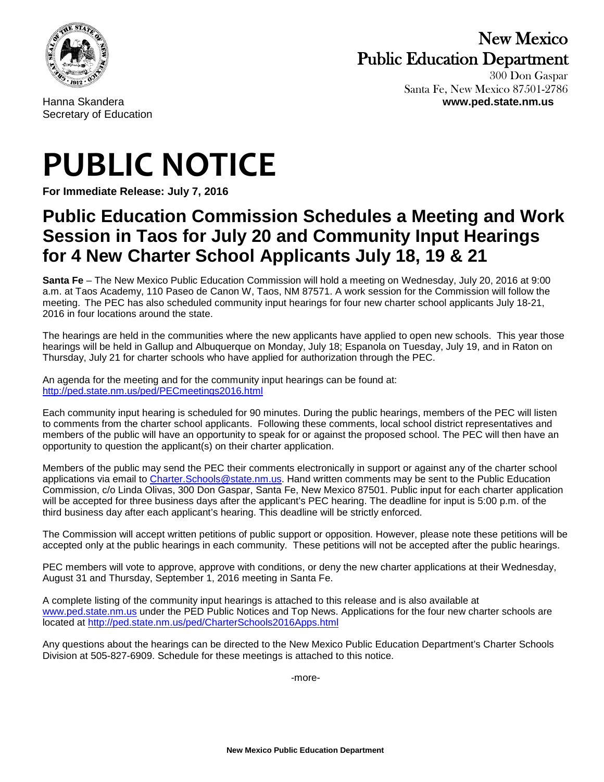

## New Mexico Public Education Department 300 Don Gaspar

 Santa Fe, New Mexico 87501-2786 Hanna Skandera **www.ped.state.nm.us**

Secretary of Education

## **PUBLIC NOTICE**

**For Immediate Release: July 7, 2016**

## **Public Education Commission Schedules a Meeting and Work Session in Taos for July 20 and Community Input Hearings for 4 New Charter School Applicants July 18, 19 & 21**

**Santa Fe** – The New Mexico Public Education Commission will hold a meeting on Wednesday, July 20, 2016 at 9:00 a.m. at Taos Academy, 110 Paseo de Canon W, Taos, NM 87571. A work session for the Commission will follow the meeting. The PEC has also scheduled community input hearings for four new charter school applicants July 18-21, 2016 in four locations around the state.

The hearings are held in the communities where the new applicants have applied to open new schools. This year those hearings will be held in Gallup and Albuquerque on Monday, July 18; Espanola on Tuesday, July 19, and in Raton on Thursday, July 21 for charter schools who have applied for authorization through the PEC.

An agenda for the meeting and for the community input hearings can be found at: <http://ped.state.nm.us/ped/PECmeetings2016.html>

Each community input hearing is scheduled for 90 minutes. During the public hearings, members of the PEC will listen to comments from the charter school applicants. Following these comments, local school district representatives and members of the public will have an opportunity to speak for or against the proposed school. The PEC will then have an opportunity to question the applicant(s) on their charter application.

Members of the public may send the PEC their comments electronically in support or against any of the charter school applications via email to Charter. Schools @state.nm.us. Hand written comments may be sent to the Public Education Commission, c/o Linda Olivas, 300 Don Gaspar, Santa Fe, New Mexico 87501. Public input for each charter application will be accepted for three business days after the applicant's PEC hearing. The deadline for input is 5:00 p.m. of the third business day after each applicant's hearing. This deadline will be strictly enforced.

The Commission will accept written petitions of public support or opposition. However, please note these petitions will be accepted only at the public hearings in each community. These petitions will not be accepted after the public hearings.

PEC members will vote to approve, approve with conditions, or deny the new charter applications at their Wednesday, August 31 and Thursday, September 1, 2016 meeting in Santa Fe.

A complete listing of the community input hearings is attached to this release and is also available at [www.ped.state.nm.us](http://www.ped.state.nm.us/) under the PED Public Notices and Top News. Applications for the four new charter schools are located at<http://ped.state.nm.us/ped/CharterSchools2016Apps.html>

Any questions about the hearings can be directed to the New Mexico Public Education Department's Charter Schools Division at 505-827-6909. Schedule for these meetings is attached to this notice.

-more-